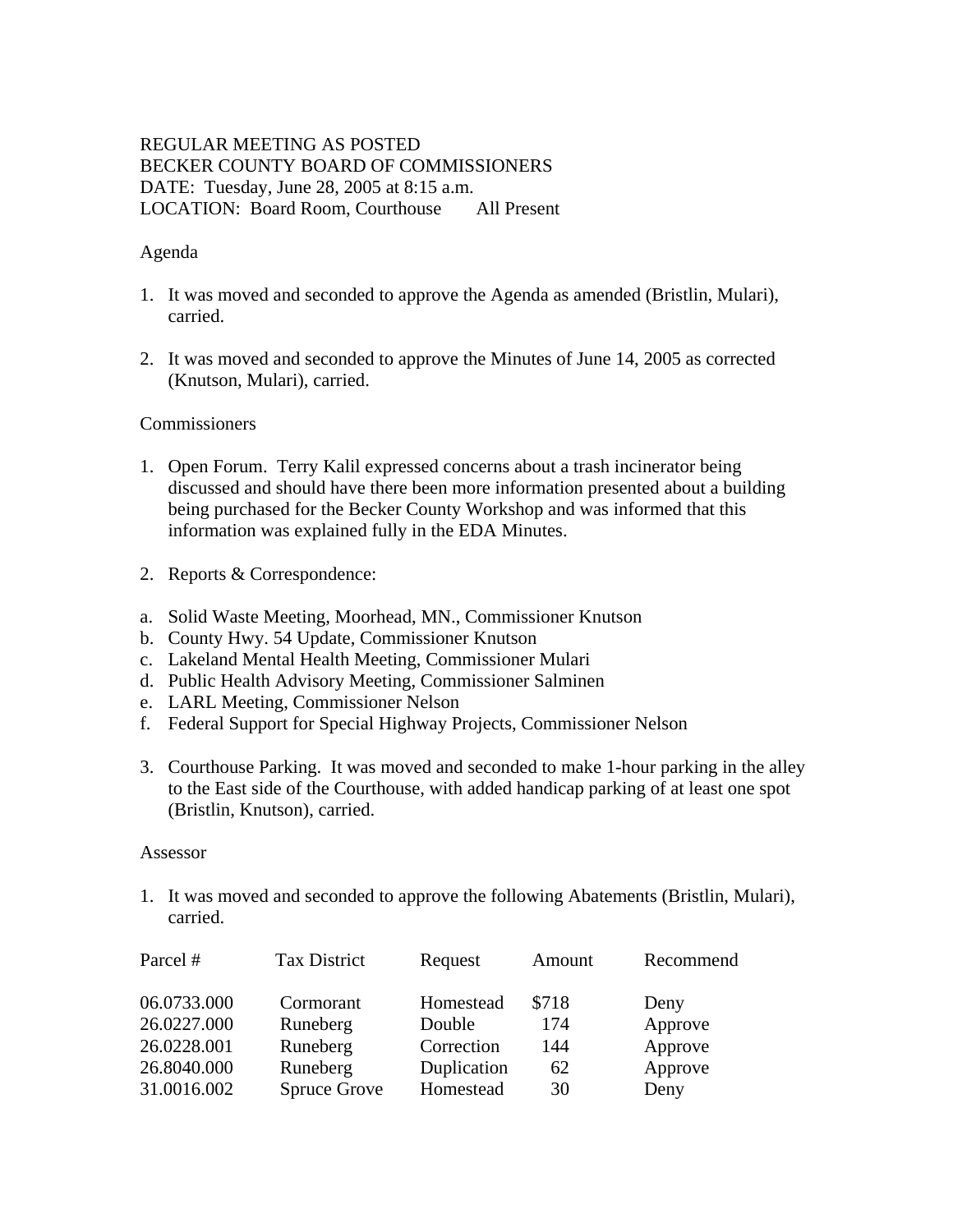# REGULAR MEETING AS POSTED BECKER COUNTY BOARD OF COMMISSIONERS DATE: Tuesday, June 28, 2005 at 8:15 a.m. LOCATION: Board Room, Courthouse All Present

### Agenda

- 1. It was moved and seconded to approve the Agenda as amended (Bristlin, Mulari), carried.
- 2. It was moved and seconded to approve the Minutes of June 14, 2005 as corrected (Knutson, Mulari), carried.

### Commissioners

- 1. Open Forum. Terry Kalil expressed concerns about a trash incinerator being discussed and should have there been more information presented about a building being purchased for the Becker County Workshop and was informed that this information was explained fully in the EDA Minutes.
- 2. Reports & Correspondence:
- a. Solid Waste Meeting, Moorhead, MN., Commissioner Knutson
- b. County Hwy. 54 Update, Commissioner Knutson
- c. Lakeland Mental Health Meeting, Commissioner Mulari
- d. Public Health Advisory Meeting, Commissioner Salminen
- e. LARL Meeting, Commissioner Nelson
- f. Federal Support for Special Highway Projects, Commissioner Nelson
- 3. Courthouse Parking. It was moved and seconded to make 1-hour parking in the alley to the East side of the Courthouse, with added handicap parking of at least one spot (Bristlin, Knutson), carried.

#### Assessor

1. It was moved and seconded to approve the following Abatements (Bristlin, Mulari), carried.

| Parcel #    | <b>Tax District</b> | Request     | Amount | Recommend |
|-------------|---------------------|-------------|--------|-----------|
| 06.0733.000 | Cormorant           | Homestead   | \$718  | Deny      |
| 26.0227.000 | Runeberg            | Double      | 174    | Approve   |
| 26.0228.001 | Runeberg            | Correction  | 144    | Approve   |
| 26.8040.000 | Runeberg            | Duplication | 62     | Approve   |
| 31.0016.002 | Spruce Grove        | Homestead   | 30     | Deny      |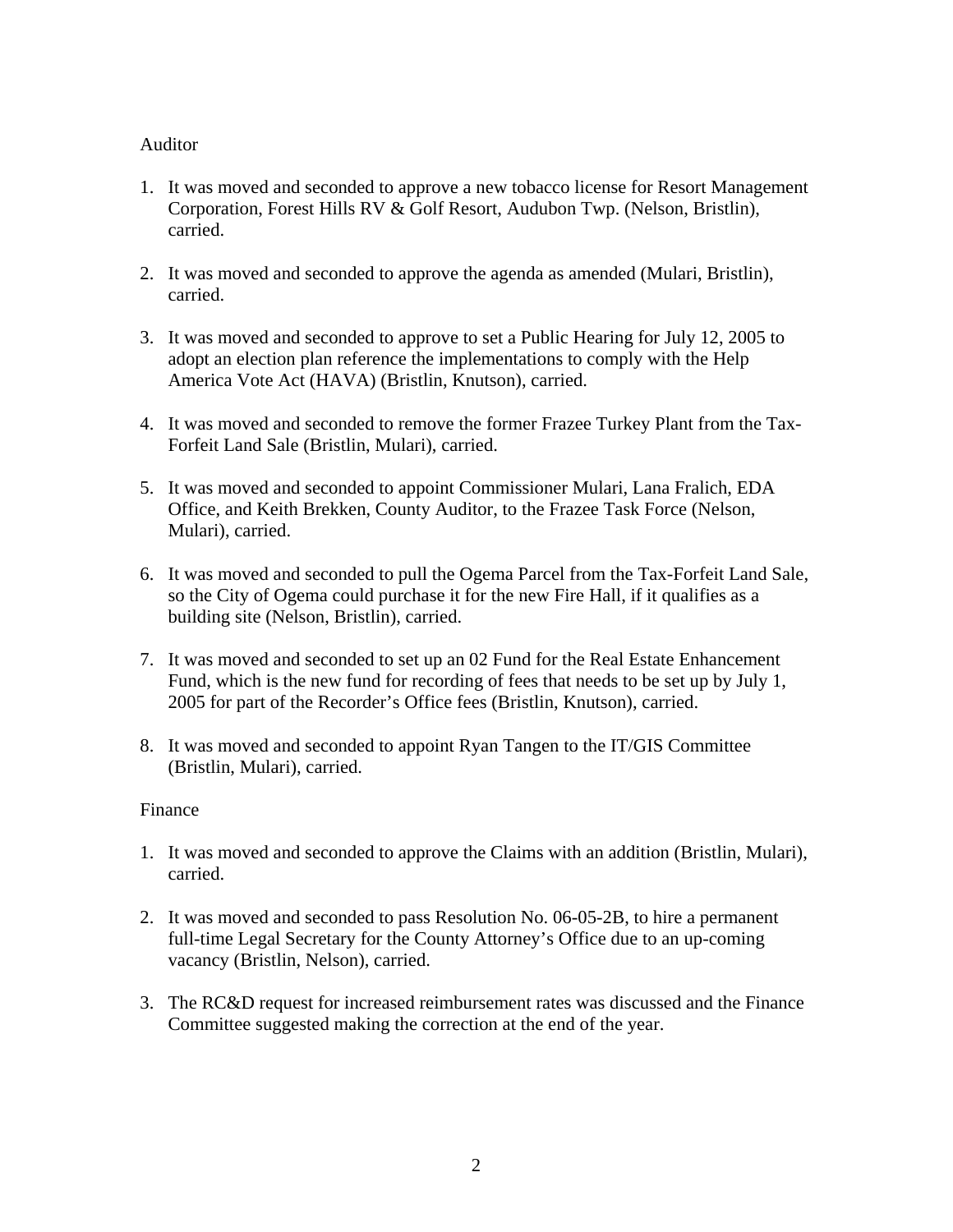## Auditor

- 1. It was moved and seconded to approve a new tobacco license for Resort Management Corporation, Forest Hills RV & Golf Resort, Audubon Twp. (Nelson, Bristlin), carried.
- 2. It was moved and seconded to approve the agenda as amended (Mulari, Bristlin), carried.
- 3. It was moved and seconded to approve to set a Public Hearing for July 12, 2005 to adopt an election plan reference the implementations to comply with the Help America Vote Act (HAVA) (Bristlin, Knutson), carried.
- 4. It was moved and seconded to remove the former Frazee Turkey Plant from the Tax-Forfeit Land Sale (Bristlin, Mulari), carried.
- 5. It was moved and seconded to appoint Commissioner Mulari, Lana Fralich, EDA Office, and Keith Brekken, County Auditor, to the Frazee Task Force (Nelson, Mulari), carried.
- 6. It was moved and seconded to pull the Ogema Parcel from the Tax-Forfeit Land Sale, so the City of Ogema could purchase it for the new Fire Hall, if it qualifies as a building site (Nelson, Bristlin), carried.
- 7. It was moved and seconded to set up an 02 Fund for the Real Estate Enhancement Fund, which is the new fund for recording of fees that needs to be set up by July 1, 2005 for part of the Recorder's Office fees (Bristlin, Knutson), carried.
- 8. It was moved and seconded to appoint Ryan Tangen to the IT/GIS Committee (Bristlin, Mulari), carried.

# Finance

- 1. It was moved and seconded to approve the Claims with an addition (Bristlin, Mulari), carried.
- 2. It was moved and seconded to pass Resolution No. 06-05-2B, to hire a permanent full-time Legal Secretary for the County Attorney's Office due to an up-coming vacancy (Bristlin, Nelson), carried.
- 3. The RC&D request for increased reimbursement rates was discussed and the Finance Committee suggested making the correction at the end of the year.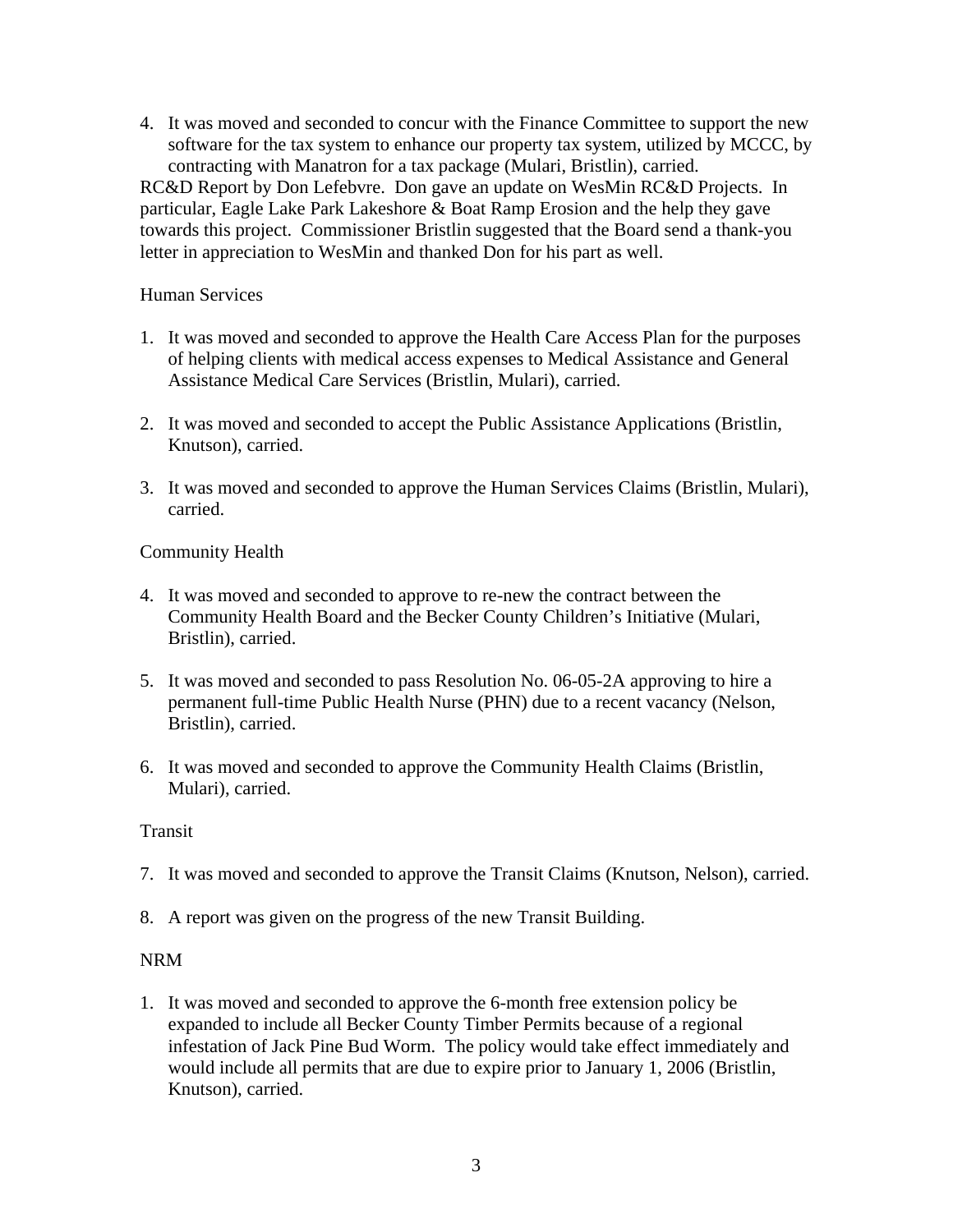4. It was moved and seconded to concur with the Finance Committee to support the new software for the tax system to enhance our property tax system, utilized by MCCC, by contracting with Manatron for a tax package (Mulari, Bristlin), carried.

RC&D Report by Don Lefebvre. Don gave an update on WesMin RC&D Projects. In particular, Eagle Lake Park Lakeshore & Boat Ramp Erosion and the help they gave towards this project. Commissioner Bristlin suggested that the Board send a thank-you letter in appreciation to WesMin and thanked Don for his part as well.

## Human Services

- 1. It was moved and seconded to approve the Health Care Access Plan for the purposes of helping clients with medical access expenses to Medical Assistance and General Assistance Medical Care Services (Bristlin, Mulari), carried.
- 2. It was moved and seconded to accept the Public Assistance Applications (Bristlin, Knutson), carried.
- 3. It was moved and seconded to approve the Human Services Claims (Bristlin, Mulari), carried.

# Community Health

- 4. It was moved and seconded to approve to re-new the contract between the Community Health Board and the Becker County Children's Initiative (Mulari, Bristlin), carried.
- 5. It was moved and seconded to pass Resolution No. 06-05-2A approving to hire a permanent full-time Public Health Nurse (PHN) due to a recent vacancy (Nelson, Bristlin), carried.
- 6. It was moved and seconded to approve the Community Health Claims (Bristlin, Mulari), carried.

### Transit

- 7. It was moved and seconded to approve the Transit Claims (Knutson, Nelson), carried.
- 8. A report was given on the progress of the new Transit Building.

### NRM

1. It was moved and seconded to approve the 6-month free extension policy be expanded to include all Becker County Timber Permits because of a regional infestation of Jack Pine Bud Worm. The policy would take effect immediately and would include all permits that are due to expire prior to January 1, 2006 (Bristlin, Knutson), carried.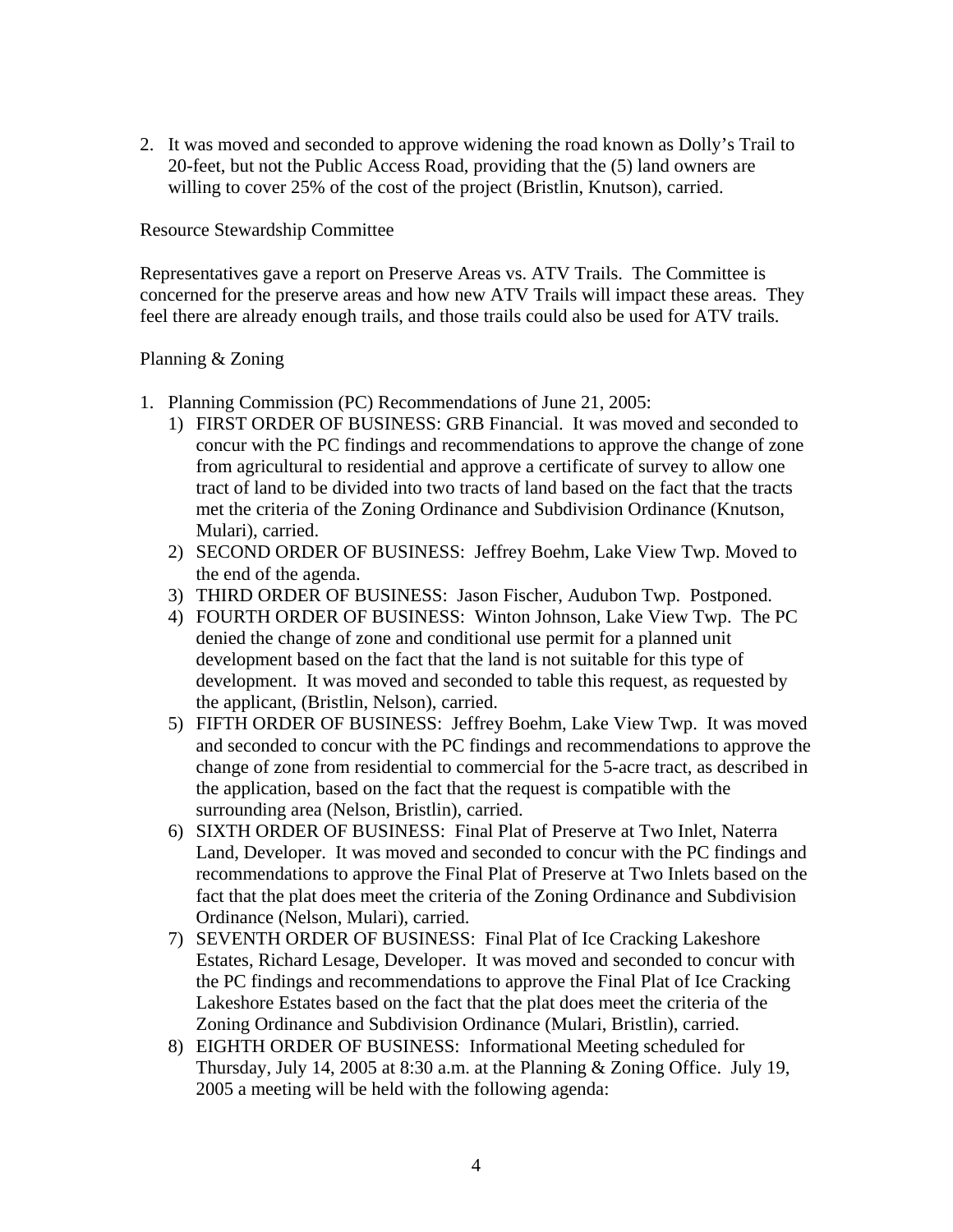2. It was moved and seconded to approve widening the road known as Dolly's Trail to 20-feet, but not the Public Access Road, providing that the (5) land owners are willing to cover 25% of the cost of the project (Bristlin, Knutson), carried.

## Resource Stewardship Committee

Representatives gave a report on Preserve Areas vs. ATV Trails. The Committee is concerned for the preserve areas and how new ATV Trails will impact these areas. They feel there are already enough trails, and those trails could also be used for ATV trails.

## Planning & Zoning

- 1. Planning Commission (PC) Recommendations of June 21, 2005:
	- 1) FIRST ORDER OF BUSINESS: GRB Financial. It was moved and seconded to concur with the PC findings and recommendations to approve the change of zone from agricultural to residential and approve a certificate of survey to allow one tract of land to be divided into two tracts of land based on the fact that the tracts met the criteria of the Zoning Ordinance and Subdivision Ordinance (Knutson, Mulari), carried.
	- 2) SECOND ORDER OF BUSINESS: Jeffrey Boehm, Lake View Twp. Moved to the end of the agenda.
	- 3) THIRD ORDER OF BUSINESS: Jason Fischer, Audubon Twp. Postponed.
	- 4) FOURTH ORDER OF BUSINESS: Winton Johnson, Lake View Twp. The PC denied the change of zone and conditional use permit for a planned unit development based on the fact that the land is not suitable for this type of development. It was moved and seconded to table this request, as requested by the applicant, (Bristlin, Nelson), carried.
	- 5) FIFTH ORDER OF BUSINESS: Jeffrey Boehm, Lake View Twp. It was moved and seconded to concur with the PC findings and recommendations to approve the change of zone from residential to commercial for the 5-acre tract, as described in the application, based on the fact that the request is compatible with the surrounding area (Nelson, Bristlin), carried.
	- 6) SIXTH ORDER OF BUSINESS: Final Plat of Preserve at Two Inlet, Naterra Land, Developer. It was moved and seconded to concur with the PC findings and recommendations to approve the Final Plat of Preserve at Two Inlets based on the fact that the plat does meet the criteria of the Zoning Ordinance and Subdivision Ordinance (Nelson, Mulari), carried.
	- 7) SEVENTH ORDER OF BUSINESS: Final Plat of Ice Cracking Lakeshore Estates, Richard Lesage, Developer. It was moved and seconded to concur with the PC findings and recommendations to approve the Final Plat of Ice Cracking Lakeshore Estates based on the fact that the plat does meet the criteria of the Zoning Ordinance and Subdivision Ordinance (Mulari, Bristlin), carried.
	- 8) EIGHTH ORDER OF BUSINESS: Informational Meeting scheduled for Thursday, July 14, 2005 at 8:30 a.m. at the Planning & Zoning Office. July 19, 2005 a meeting will be held with the following agenda: